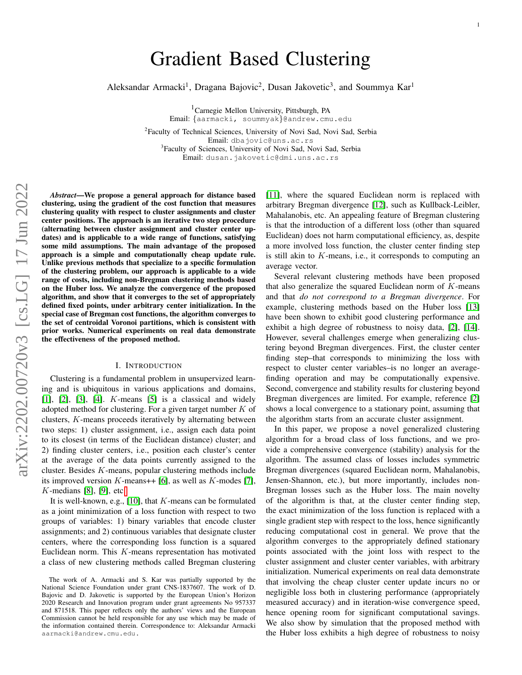# Gradient Based Clustering

Aleksandar Armacki<sup>1</sup>, Dragana Bajovic<sup>2</sup>, Dusan Jakovetic<sup>3</sup>, and Soummya Kar<sup>1</sup>

<sup>1</sup>Carnegie Mellon University, Pittsburgh, PA Email: {aarmacki, soummyak}@andrew.cmu.edu

<sup>2</sup>Faculty of Technical Sciences, University of Novi Sad, Novi Sad, Serbia Email: dbajovic@uns.ac.rs <sup>3</sup>Faculty of Sciences, University of Novi Sad, Novi Sad, Serbia Email: dusan.jakovetic@dmi.uns.ac.rs

*Abstract*—We propose a general approach for distance based clustering, using the gradient of the cost function that measures clustering quality with respect to cluster assignments and cluster center positions. The approach is an iterative two step procedure (alternating between cluster assignment and cluster center updates) and is applicable to a wide range of functions, satisfying some mild assumptions. The main advantage of the proposed approach is a simple and computationally cheap update rule. Unlike previous methods that specialize to a specific formulation of the clustering problem, our approach is applicable to a wide range of costs, including non-Bregman clustering methods based on the Huber loss. We analyze the convergence of the proposed algorithm, and show that it converges to the set of appropriately defined fixed points, under arbitrary center initialization. In the special case of Bregman cost functions, the algorithm converges to the set of centroidal Voronoi partitions, which is consistent with prior works. Numerical experiments on real data demonstrate the effectiveness of the proposed method.

# I. INTRODUCTION

Clustering is a fundamental problem in unsupervized learning and is ubiquitous in various applications and domains,  $[1]$ ,  $[2]$ ,  $[3]$ ,  $[4]$ . *K*-means  $[5]$  is a classical and widely adopted method for clustering. For a given target number  $K$  of clusters, K-means proceeds iteratively by alternating between two steps: 1) cluster assignment, i.e., assign each data point to its closest (in terms of the Euclidean distance) cluster; and 2) finding cluster centers, i.e., position each cluster's center at the average of the data points currently assigned to the cluster. Besides K-means, popular clustering methods include its improved version K-means++ [\[6\]](#page-9-5), as well as K-modes [\[7\]](#page-9-6),  $K$ -medians [\[8\]](#page-9-7), [\[9\]](#page-9-8), etc[.](#page-0-0)

It is well-known, e.g.,  $[10]$ , that K-means can be formulated as a joint minimization of a loss function with respect to two groups of variables: 1) binary variables that encode cluster assignments; and 2) continuous variables that designate cluster centers, where the corresponding loss function is a squared Euclidean norm. This  $K$ -means representation has motivated a class of new clustering methods called Bregman clustering [\[11\]](#page-9-10), where the squared Euclidean norm is replaced with arbitrary Bregman divergence [\[12\]](#page-9-11), such as Kullback-Leibler, Mahalanobis, etc. An appealing feature of Bregman clustering is that the introduction of a different loss (other than squared Euclidean) does not harm computational efficiency, as, despite a more involved loss function, the cluster center finding step is still akin to K-means, i.e., it corresponds to computing an average vector.

Several relevant clustering methods have been proposed that also generalize the squared Euclidean norm of  $K$ -means and that *do not correspond to a Bregman divergence*. For example, clustering methods based on the Huber loss [\[13\]](#page-9-12) have been shown to exhibit good clustering performance and exhibit a high degree of robustness to noisy data, [\[2\]](#page-9-1), [\[14\]](#page-10-0). However, several challenges emerge when generalizing clustering beyond Bregman divergences. First, the cluster center finding step–that corresponds to minimizing the loss with respect to cluster center variables–is no longer an averagefinding operation and may be computationally expensive. Second, convergence and stability results for clustering beyond Bregman divergences are limited. For example, reference [\[2\]](#page-9-1) shows a local convergence to a stationary point, assuming that the algorithm starts from an accurate cluster assignment.

In this paper, we propose a novel generalized clustering algorithm for a broad class of loss functions, and we provide a comprehensive convergence (stability) analysis for the algorithm. The assumed class of losses includes symmetric Bregman divergences (squared Euclidean norm, Mahalanobis, Jensen-Shannon, etc.), but more importantly, includes non-Bregman losses such as the Huber loss. The main novelty of the algorithm is that, at the cluster center finding step, the exact minimization of the loss function is replaced with a single gradient step with respect to the loss, hence significantly reducing computational cost in general. We prove that the algorithm converges to the appropriately defined stationary points associated with the joint loss with respect to the cluster assignment and cluster center variables, with arbitrary initialization. Numerical experiments on real data demonstrate that involving the cheap cluster center update incurs no or negligible loss both in clustering performance (appropriately measured accuracy) and in iteration-wise convergence speed, hence opening room for significant computational savings. We also show by simulation that the proposed method with the Huber loss exhibits a high degree of robustness to noisy

<span id="page-0-0"></span>The work of A. Armacki and S. Kar was partially supported by the National Science Foundation under grant CNS-1837607. The work of D. Bajovic and D. Jakovetic is supported by the European Union's Horizon 2020 Research and Innovation program under grant agreements No 957337 and 871518. This paper reflects only the authors' views and the European Commission cannot be held responsible for any use which may be made of the information contained therein. Correspondence to: Aleksandar Armacki aarmacki@andrew.cmu.edu.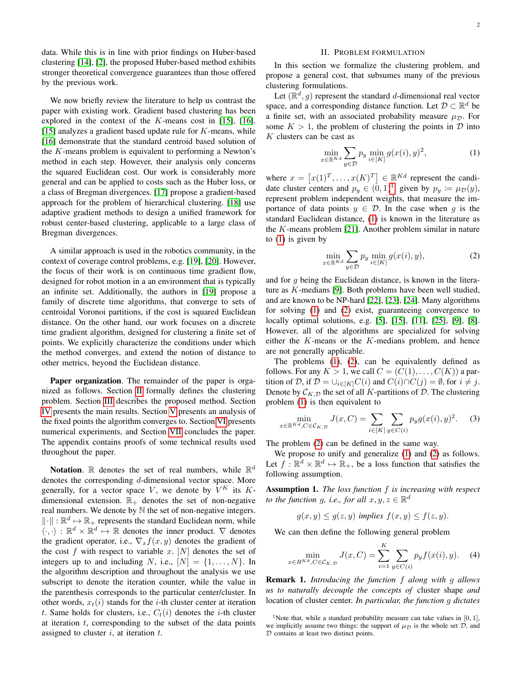<span id="page-1-0"></span>

data. While this is in line with prior findings on Huber-based clustering [\[14\]](#page-10-0), [\[2\]](#page-9-1), the proposed Huber-based method exhibits stronger theoretical convergence guarantees than those offered by the previous work.

We now briefly review the literature to help us contrast the paper with existing work. Gradient based clustering has been explored in the context of the  $K$ -means cost in [\[15\]](#page-10-1), [\[16\]](#page-10-2). [\[15\]](#page-10-1) analyzes a gradient based update rule for  $K$ -means, while [\[16\]](#page-10-2) demonstrate that the standard centroid based solution of the  $K$ -means problem is equivalent to performing a Newton's method in each step. However, their analysis only concerns the squared Euclidean cost. Our work is considerably more general and can be applied to costs such as the Huber loss, or a class of Bregman divergences. [\[17\]](#page-10-3) propose a gradient-based approach for the problem of hierarchical clustering. [\[18\]](#page-10-4) use adaptive gradient methods to design a unified framework for robust center-based clustering, applicable to a large class of Bregman divergences.

A similar approach is used in the robotics community, in the context of coverage control problems, e.g. [\[19\]](#page-10-5), [\[20\]](#page-10-6). However, the focus of their work is on continuous time gradient flow, designed for robot motion in a an environment that is typically an infinite set. Additionally, the authors in [\[19\]](#page-10-5) propose a family of discrete time algorithms, that converge to sets of centroidal Voronoi partitions, if the cost is squared Euclidean distance. On the other hand, our work focuses on a discrete time gradient algorithm, designed for clustering a finite set of points. We explicitly characterize the conditions under which the method converges, and extend the notion of distance to other metrics, beyond the Euclidean distance.

Paper organization. The remainder of the paper is organized as follows. Section [II](#page-1-0) formally defines the clustering problem. Section [III](#page-2-0) describes the proposed method. Section [IV](#page-2-1) presents the main results. Section [V](#page-6-0) presents an analysis of the fixed points the algorithm converges to. Section [VI](#page-7-0) presents numerical experiments, and Section [VII](#page-9-13) concludes the paper. The appendix contains proofs of some technical results used throughout the paper.

Notation. R denotes the set of real numbers, while  $\mathbb{R}^d$ denotes the corresponding d-dimensional vector space. More generally, for a vector space V, we denote by  $V^K$  its  $K$ dimensional extension.  $\mathbb{R}_+$  denotes the set of non-negative real numbers. We denote by  $N$  the set of non-negative integers.  $\lVert \cdot \rVert : \mathbb{R}^d \mapsto \mathbb{R}_+$  represents the standard Euclidean norm, while  $\langle \cdot, \cdot \rangle : \mathbb{R}^d \times \mathbb{R}^d \mapsto \mathbb{R}$  denotes the inner product.  $\nabla$  denotes the gradient operator, i.e.,  $\nabla_x f(x, y)$  denotes the gradient of the cost f with respect to variable x.  $[N]$  denotes the set of integers up to and including N, i.e.,  $[N] = \{1, \ldots, N\}$ . In the algorithm description and throughout the analysis we use subscript to denote the iteration counter, while the value in the parenthesis corresponds to the particular center/cluster. In other words,  $x_t(i)$  stands for the *i*-th cluster center at iteration t. Same holds for clusters, i.e.,  $C_t(i)$  denotes the *i*-th cluster at iteration  $t$ , corresponding to the subset of the data points assigned to cluster  $i$ , at iteration  $t$ .

# II. PROBLEM FORMULATION

In this section we formalize the clustering problem, and propose a general cost, that subsumes many of the previous clustering formulations.

Let  $(\mathbb{R}^d, g)$  represent the standard d-dimensional real vector space, and a corresponding distance function. Let  $\mathcal{D} \subset \mathbb{R}^d$  be a finite set, with an associated probability measure  $\mu_{\mathcal{D}}$ . For some  $K > 1$ , the problem of clustering the points in  $\mathcal D$  into K clusters can be cast as

<span id="page-1-2"></span>
$$
\min_{x \in \mathbb{R}^{Kd}} \sum_{y \in \mathcal{D}} p_y \min_{i \in [K]} g(x(i), y)^2,
$$
\n(1)

where  $x = [x(1)^T, \dots, x(K)^T] \in \mathbb{R}^{Kd}$  represent the candidate cluster centers and  $p_y \in (0,1)^1$  $p_y \in (0,1)^1$  $p_y \in (0,1)^1$ , given by  $p_y := \mu_{\mathcal{D}}(y)$ , represent problem independent weights, that measure the importance of data points  $y \in \mathcal{D}$ . In the case when q is the standard Euclidean distance, [\(1\)](#page-1-2) is known in the literature as the  $K$ -means problem [\[21\]](#page-10-7). Another problem similar in nature to [\(1\)](#page-1-2) is given by

<span id="page-1-3"></span>
$$
\min_{x \in \mathbb{R}^{Kd}} \sum_{y \in \mathcal{D}} p_y \min_{i \in [K]} g(x(i), y),\tag{2}
$$

and for  $g$  being the Euclidean distance, is known in the literature as K-medians [\[9\]](#page-9-8). Both problems have been well studied, and are known to be NP-hard [\[22\]](#page-10-8), [\[23\]](#page-10-9), [\[24\]](#page-10-10). Many algorithms for solving [\(1\)](#page-1-2) and [\(2\)](#page-1-3) exist, guaranteeing convergence to locally optimal solutions, e.g. [\[5\]](#page-9-4), [\[15\]](#page-10-1), [\[11\]](#page-9-10), [\[25\]](#page-10-11), [\[9\]](#page-9-8), [\[8\]](#page-9-7). However, all of the algorithms are specialized for solving either the K-means or the K-medians problem, and hence are not generally applicable.

The problems [\(1\)](#page-1-2), [\(2\)](#page-1-3), can be equivalently defined as follows. For any  $K > 1$ , we call  $C = (C(1), \ldots, C(K))$  a partition of D, if  $D = \bigcup_{i \in [K]} C(i)$  and  $C(i) \cap C(j) = \emptyset$ , for  $i \neq j$ . Denote by  $\mathcal{C}_{K,\mathcal{D}}$  the set of all K-partitions of  $\mathcal{D}$ . The clustering problem [\(1\)](#page-1-2) is then equivalent to

<span id="page-1-4"></span>
$$
\min_{x \in \mathbb{R}^{Kd}, C \in \mathcal{C}_K, \mathcal{D}} J(x, C) = \sum_{i \in [K]} \sum_{y \in C(i)} p_y g(x(i), y)^2.
$$
 (3)

The problem [\(2\)](#page-1-3) can be defined in the same way.

We propose to unify and generalize [\(1\)](#page-1-2) and [\(2\)](#page-1-3) as follows. Let  $f: \mathbb{R}^d \times \mathbb{R}^d \mapsto \mathbb{R}_+$ , be a loss function that satisfies the following assumption.

<span id="page-1-6"></span>Assumption 1. *The loss function* f *is increasing with respect to the function g, i.e., for all*  $x, y, z \in \mathbb{R}^d$ 

$$
g(x, y) \le g(z, y) \text{ implies } f(x, y) \le f(z, y).
$$

We can then define the following general problem

<span id="page-1-5"></span>
$$
\min_{x \in R^{Kd}, C \in \mathcal{C}_K, \mathcal{D}} J(x, C) = \sum_{i=1}^K \sum_{y \in C(i)} p_y f(x(i), y). \tag{4}
$$

Remark 1. *Introducing the function* f *along with* g *allows us to naturally decouple the concepts of* cluster shape *and* location of cluster center*. In particular, the function* g *dictates*

<span id="page-1-1"></span><sup>&</sup>lt;sup>1</sup>Note that, while a standard probability measure can take values in  $[0, 1]$ , we implicitly assume two things: the support of  $\mu_{\mathcal{D}}$  is the whole set  $\mathcal{D}$ , and D contains at least two distinct points.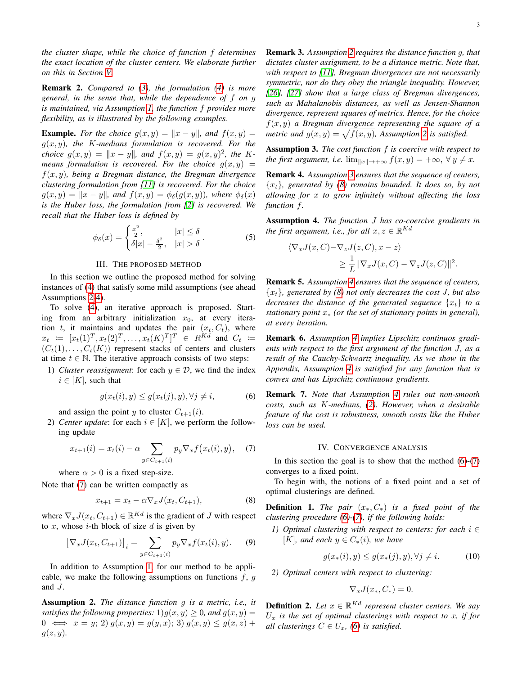*the cluster shape, while the choice of function* f *determines the exact location of the cluster centers. We elaborate further on this in Section [V.](#page-6-0)*

Remark 2. *Compared to [\(3\)](#page-1-4), the formulation [\(4\)](#page-1-5) is more general, in the sense that, while the dependence of* f *on* g *is maintained, via Assumption [1,](#page-1-6) the function* f *provides more flexibility, as is illustrated by the following examples.*

**Example.** For the choice  $g(x, y) = ||x - y||$ , and  $f(x, y) =$ g(x, y)*, the* K*-medians formulation is recovered. For the choice*  $g(x, y) = ||x - y||$ *, and*  $f(x, y) = g(x, y)^2$ *, the* K*means formulation is recovered. For the choice*  $g(x, y) =$ f(x, y)*, being a Bregman distance, the Bregman divergence clustering formulation from [\[11\]](#page-9-10) is recovered. For the choice*  $g(x, y) = ||x - y||$ *, and*  $f(x, y) = \phi_{\delta}(g(x, y))$ *, where*  $\phi_{\delta}(x)$ *is the Huber loss, the formulation from [\[2\]](#page-9-1) is recovered. We recall that the Huber loss is defined by*

<span id="page-2-12"></span>
$$
\phi_{\delta}(x) = \begin{cases} \frac{x^2}{2}, & |x| \le \delta \\ \delta |x| - \frac{\delta^2}{2}, & |x| > \delta \end{cases}.
$$
 (5)

#### III. THE PROPOSED METHOD

<span id="page-2-0"></span>In this section we outline the proposed method for solving instances of [\(4\)](#page-1-5) that satisfy some mild assumptions (see ahead Assumptions [2](#page-2-2)[-4\)](#page-2-3).

To solve [\(4\)](#page-1-5), an iterative approach is proposed. Starting from an arbitrary initialization  $x_0$ , at every iteration t, it maintains and updates the pair  $(x_t, C_t)$ , where  $x_t := [x_t(1)^T, x_t(2)^T, \dots, x_t(K)^T]^T \in R^{Kd}$  and  $C_t :=$  $(C_t(1), \ldots, C_t(K))$  represent stacks of centers and clusters at time  $t \in \mathbb{N}$ . The iterative approach consists of two steps:

1) *Cluster reassignment*: for each  $y \in \mathcal{D}$ , we find the index  $i \in [K]$ , such that

<span id="page-2-7"></span>
$$
g(x_t(i), y) \le g(x_t(j), y), \forall j \ne i,
$$
\n<sup>(6)</sup>

and assign the point y to cluster  $C_{t+1}(i)$ .

2) *Center update*: for each  $i \in [K]$ , we perform the following update

<span id="page-2-4"></span>
$$
x_{t+1}(i) = x_t(i) - \alpha \sum_{y \in C_{t+1}(i)} p_y \nabla_x f(x_t(i), y), \quad (7)
$$

where  $\alpha > 0$  is a fixed step-size.

Note that [\(7\)](#page-2-4) can be written compactly as

<span id="page-2-6"></span>
$$
x_{t+1} = x_t - \alpha \nabla_x J(x_t, C_{t+1}), \tag{8}
$$

where  $\nabla_x J(x_t, C_{t+1}) \in \mathbb{R}^{Kd}$  is the gradient of J with respect to  $x$ , whose *i*-th block of size  $d$  is given by

<span id="page-2-11"></span>
$$
[\nabla_x J(x_t, C_{t+1})]_i = \sum_{y \in C_{t+1}(i)} p_y \nabla_x f(x_t(i), y). \tag{9}
$$

In addition to Assumption [1,](#page-1-6) for our method to be applicable, we make the following assumptions on functions  $f, g$ and J.

<span id="page-2-2"></span>Assumption 2. *The distance function* g *is a metric, i.e., it satisfies the following properties:*  $1)g(x, y) \geq 0$ *, and*  $g(x, y) = 0$  $0 \iff x = y; 2$   $g(x, y) = g(y, x); 3$   $g(x, y) \le g(x, z) +$  $g(z, y)$ .

Remark 3. *Assumption [2](#page-2-2) requires the distance function* g*, that dictates cluster assignment, to be a distance metric. Note that, with respect to [\[11\]](#page-9-10), Bregman divergences are not necessarily symmetric, nor do they obey the triangle inequality. However, [\[26\]](#page-10-12), [\[27\]](#page-10-13) show that a large class of Bregman divergences, such as Mahalanobis distances, as well as Jensen-Shannon divergence, represent squares of metrics. Hence, for the choice* f(x, y) *a Bregman divergence representing the square of a metric and*  $g(x, y) = \sqrt{f(x, y)}$ , Assumption [2](#page-2-2) is satisfied.

<span id="page-2-5"></span>Assumption 3. *The cost function* f *is coercive with respect to the first argument, i.e.*  $\lim_{\|x\| \to +\infty} f(x, y) = +\infty, \forall y \neq x$ .

Remark 4. *Assumption [3](#page-2-5) ensures that the sequence of centers,* {xt}*, generated by [\(8\)](#page-2-6) remains bounded. It does so, by not allowing for* x *to grow infinitely without affecting the loss function* f*.*

<span id="page-2-3"></span>Assumption 4. *The function* J *has co-coercive gradients in the first argument, i.e., for all*  $x, z \in \mathbb{R}^{Kd}$ 

$$
\langle \nabla_x J(x, C) - \nabla_z J(z, C), x - z \rangle
$$
  
 
$$
\geq \frac{1}{L} \|\nabla_x J(x, C) - \nabla_z J(z, C)\|^2.
$$

Remark 5. *Assumption [4](#page-2-3) ensures that the sequence of centers,* {xt}*, generated by [\(8\)](#page-2-6) not only decreases the cost* J*, but also decreases the distance of the generated sequence*  $\{x_t\}$  *to a stationary point* x<sup>∗</sup> *(or the set of stationary points in general), at every iteration.*

<span id="page-2-9"></span>Remark 6. *Assumption [4](#page-2-3) implies Lipschitz continuos gradients with respect to the first argument of the function* J*, as a result of the Cauchy-Schwartz inequality. As we show in the Appendix, Assumption [4](#page-2-3) is satisfied for any function that is convex and has Lipschitz continuous gradients.*

Remark 7. *Note that Assumption [4](#page-2-3) rules out non-smooth costs, such as* K*-medians, [\(2\)](#page-1-3). However, when a desirable feature of the cost is robustness, smooth costs like the Huber loss can be used.*

## IV. CONVERGENCE ANALYSIS

<span id="page-2-1"></span>In this section the goal is to show that the method  $(6)-(7)$  $(6)-(7)$  $(6)-(7)$ converges to a fixed point.

To begin with, the notions of a fixed point and a set of optimal clusterings are defined.

<span id="page-2-8"></span>Definition 1. *The pair* (x∗, C∗) *is a fixed point of the clustering procedure [\(6\)](#page-2-7)-[\(7\)](#page-2-4), if the following holds:*

*1) Optimal clustering with respect to centers: for each* i ∈ [K], and each  $y \in C_*(i)$ , we have

$$
g(x_*(i), y) \le g(x_*(j), y), \forall j \ne i. \tag{10}
$$

*2) Optimal centers with respect to clustering:*

$$
\nabla_x J(x_*, C_*) = 0.
$$

<span id="page-2-10"></span>**Definition 2.** Let  $x \in \mathbb{R}^{Kd}$  represent cluster centers. We say  $U_x$  *is the set of optimal clusterings with respect to x, if for all clusterings*  $C \in U_x$ , [\(6\)](#page-2-7) *is satisfied.*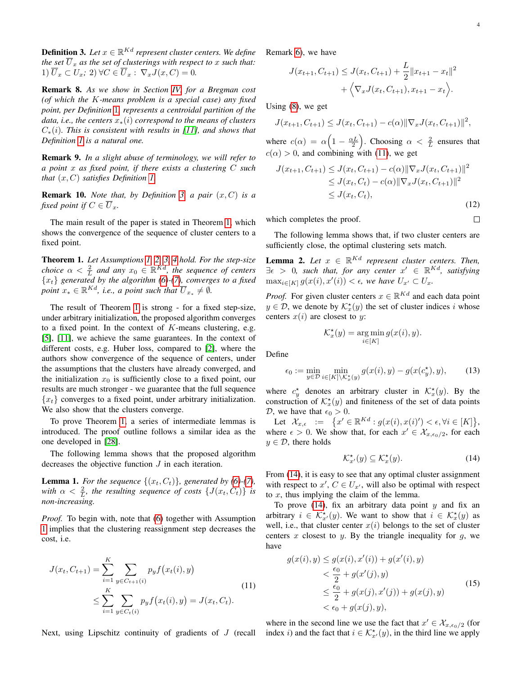<span id="page-3-8"></span> $\Box$ 

<span id="page-3-0"></span>**Definition 3.** Let  $x \in \mathbb{R}^{Kd}$  represent cluster centers. We define *the set*  $\overline{U}_x$  *as the set of clusterings with respect to x such that:* 1)  $\overline{U}_x \subset U_x$ ; 2)  $\forall C \in \overline{U}_x : \nabla_x J(x, C) = 0.$ 

Remark 8. *As we show in Section [IV,](#page-2-1) for a Bregman cost (of which the* K*-means problem is a special case) any fixed point, per Definition* [1](#page-2-8)*, represents a centroidal partition of the data, i.e., the centers*  $x_*(i)$  *correspond to the means of clusters* C∗(i)*. This is consistent with results in [\[11\]](#page-9-10), and shows that Definition [1](#page-2-8) is a natural one.*

Remark 9. *In a slight abuse of terminology, we will refer to a point* x *as fixed point, if there exists a clustering* C *such that* (x, C) *satisfies Definition [1.](#page-2-8)*

**Remark 10.** *Note that, by Definition [3,](#page-3-0) a pair*  $(x, C)$  *is a fixed point if*  $C \in \overline{U}_x$ *.* 

The main result of the paper is stated in Theorem [1,](#page-3-1) which shows the convergence of the sequence of cluster centers to a fixed point.

<span id="page-3-1"></span>Theorem 1. *Let Assumptions [1,](#page-1-6) [2,](#page-2-2) [3,](#page-2-5) [4](#page-2-3) hold. For the step-size choice*  $\alpha < \frac{2}{L}$  and any  $x_0 \in \mathbb{R}^{Kd}$ , the sequence of centers {xt} *generated by the algorithm [\(6\)](#page-2-7)-[\(7\)](#page-2-4), converges to a fixed point*  $x_* \in \mathbb{R}^{Kd}$ , *i.e.*, *a point such that*  $\overline{U}_{x_*} \neq \emptyset$ .

The result of Theorem [1](#page-3-1) is strong - for a fixed step-size, under arbitrary initialization, the proposed algorithm converges to a fixed point. In the context of  $K$ -means clustering, e.g. [\[5\]](#page-9-4), [\[11\]](#page-9-10), we achieve the same guarantees. In the context of different costs, e.g. Huber loss, compared to [\[2\]](#page-9-1), where the authors show convergence of the sequence of centers, under the assumptions that the clusters have already converged, and the initialization  $x_0$  is sufficiently close to a fixed point, our results are much stronger - we guarantee that the full sequence  ${x_t}$  converges to a fixed point, under arbitrary initialization. We also show that the clusters converge.

To prove Theorem [1,](#page-3-1) a series of intermediate lemmas is introduced. The proof outline follows a similar idea as the one developed in [\[28\]](#page-10-14).

The following lemma shows that the proposed algorithm decreases the objective function  $J$  in each iteration.

<span id="page-3-7"></span>**Lemma 1.** For the sequence  $\{(x_t, C_t)\}\$ , generated by [\(6\)](#page-2-7)-[\(7\)](#page-2-4), *with*  $\alpha < \frac{2}{L}$ , *the resulting sequence of costs*  $\{J(x_t, C_t)\}\$ *is non-increasing.*

*Proof.* To begin with, note that [\(6\)](#page-2-7) together with Assumption [1](#page-1-6) implies that the clustering reassignment step decreases the cost, i.e.

$$
J(x_t, C_{t+1}) = \sum_{i=1}^K \sum_{y \in C_{t+1}(i)} p_y f(x_t(i), y)
$$
  
 
$$
\leq \sum_{i=1}^K \sum_{y \in C_t(i)} p_y f(x_t(i), y) = J(x_t, C_t).
$$
 (11)

Next, using Lipschitz continuity of gradients of J (recall

Remark [6\)](#page-2-9), we have

$$
J(x_{t+1}, C_{t+1}) \leq J(x_t, C_{t+1}) + \frac{L}{2} ||x_{t+1} - x_t||^2
$$
  
+  $\langle \nabla_x J(x_t, C_{t+1}), x_{t+1} - x_t \rangle$ .

Using [\(8\)](#page-2-6), we get

$$
J(x_{t+1}, C_{t+1}) \leq J(x_t, C_{t+1}) - c(\alpha) \|\nabla_x J(x_t, C_{t+1})\|^2,
$$

where  $c(\alpha) = \alpha \left(1 - \frac{\alpha L}{2}\right)$ . Choosing  $\alpha < \frac{2}{L}$  ensures that  $c(\alpha) > 0$ , and combining with [\(11\)](#page-3-2), we get

$$
J(x_{t+1}, C_{t+1}) \leq J(x_t, C_{t+1}) - c(\alpha) \|\nabla_x J(x_t, C_{t+1})\|^2
$$
  
\n
$$
\leq J(x_t, C_t) - c(\alpha) \|\nabla_x J(x_t, C_{t+1})\|^2
$$
  
\n
$$
\leq J(x_t, C_t),
$$
\n(12)

which completes the proof.

The following lemma shows that, if two cluster centers are sufficiently close, the optimal clustering sets match.

<span id="page-3-6"></span>**Lemma 2.** Let  $x \in \mathbb{R}^{Kd}$  represent cluster centers. Then,  $\exists \epsilon > 0$ , such that, for any center  $x' \in \mathbb{R}^{Kd}$ , satisfying  $\max_{i \in [K]} g(x(i), x'(i)) < \epsilon$ , we have  $U_{x'} \subset U_x$ .

*Proof.* For given cluster centers  $x \in \mathbb{R}^{Kd}$  and each data point  $y \in \mathcal{D}$ , we denote by  $\mathcal{K}_x^{\star}(y)$  the set of cluster indices i whose centers  $x(i)$  are closest to y:

$$
\mathcal{K}_x^{\star}(y) = \underset{i \in [K]}{\arg \min} g(x(i), y).
$$

Define

<span id="page-3-5"></span>
$$
\epsilon_0 := \min_{y \in \mathcal{D}} \min_{i \in [K] \setminus \mathcal{K}_x^*(y)} g(x(i), y) - g(x(c_y^*), y), \tag{13}
$$

where  $c_y^*$  denotes an arbitrary cluster in  $\mathcal{K}_x^*(y)$ . By the construction of  $\mathcal{K}_x^{\star}(y)$  and finiteness of the set of data points D, we have that  $\epsilon_0 > 0$ .

Let  $\mathcal{X}_{x,\epsilon} := \{x' \in \mathbb{R}^{Kd} : g(x(i), x(i)') < \epsilon, \forall i \in [K] \},$ where  $\epsilon > 0$ . We show that, for each  $x' \in \mathcal{X}_{x,\epsilon_0/2}$ , for each  $y \in \mathcal{D}$ , there holds

<span id="page-3-4"></span><span id="page-3-3"></span>
$$
\mathcal{K}_{x'}^{\star}(y) \subseteq \mathcal{K}_x^{\star}(y). \tag{14}
$$

From  $(14)$ , it is easy to see that any optimal cluster assignment with respect to  $x'$ ,  $C \in U_{x'}$ , will also be optimal with respect to  $x$ , thus implying the claim of the lemma.

To prove  $(14)$ , fix an arbitrary data point y and fix an arbitrary  $i \in \mathcal{K}_{x'}^{\star}(y)$ . We want to show that  $i \in \mathcal{K}_{x}^{\star}(y)$  as well, i.e., that cluster center  $x(i)$  belongs to the set of cluster centers  $x$  closest to  $y$ . By the triangle inequality for  $q$ , we have

<span id="page-3-2"></span>
$$
g(x(i), y) \le g(x(i), x'(i)) + g(x'(i), y)
$$
  

$$
< \frac{\epsilon_0}{2} + g(x'(j), y)
$$
  

$$
\le \frac{\epsilon_0}{2} + g(x(j), x'(j)) + g(x(j), y)
$$
  

$$
< \epsilon_0 + g(x(j), y),
$$
 (15)

where in the second line we use the fact that  $x' \in \mathcal{X}_{x,\epsilon_0/2}$  (for index *i*) and the fact that  $i \in \mathcal{K}_{x'}^{\star}(y)$ , in the third line we apply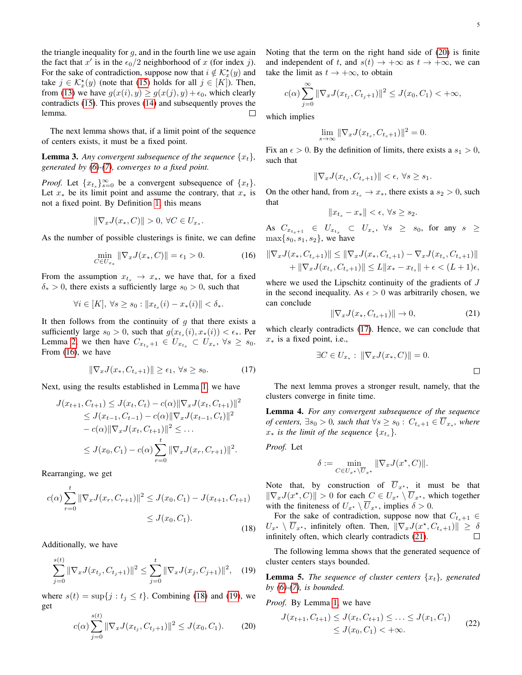the triangle inequality for  $g$ , and in the fourth line we use again the fact that  $x'$  is in the  $\epsilon_0/2$  neighborhood of x (for index j). For the sake of contradiction, suppose now that  $i \notin \mathcal{K}_x^*(y)$  and take  $j \in \mathcal{K}_x^*(y)$  (note that [\(15\)](#page-3-4) holds for all  $j \in [K]$ ). Then, from [\(13\)](#page-3-5) we have  $g(x(i), y) \ge g(x(j), y) + \epsilon_0$ , which clearly contradicts [\(15\)](#page-3-4). This proves [\(14\)](#page-3-3) and subsequently proves the lemma.  $\Box$ 

The next lemma shows that, if a limit point of the sequence of centers exists, it must be a fixed point.

<span id="page-4-8"></span>**Lemma 3.** Any convergent subsequence of the sequence  $\{x_t\}$ , *generated by [\(6\)](#page-2-7)-[\(7\)](#page-2-4), converges to a fixed point.*

*Proof.* Let  ${x_t}_s$ <sub>s=0</sub> be a convergent subsequence of  ${x_t}$ . Let  $x_*$  be its limit point and assume the contrary, that  $x_*$  is not a fixed point. By Definition [1](#page-2-8), this means

$$
\|\nabla_x J(x_*, C)\| > 0, \,\forall C \in U_{x_*}.
$$

As the number of possible clusterings is finite, we can define

<span id="page-4-0"></span>
$$
\min_{C \in U_{x*}} \|\nabla_x J(x_*, C)\| = \epsilon_1 > 0. \tag{16}
$$

From the assumption  $x_{t_s} \rightarrow x_*$ , we have that, for a fixed  $\delta_* > 0$ , there exists a sufficiently large  $s_0 > 0$ , such that

$$
\forall i \in [K], \ \forall s \ge s_0 : \|x_{t_s}(i) - x_*(i)\| < \delta_*.
$$

It then follows from the continuity of  $q$  that there exists a sufficiently large  $s_0 > 0$ , such that  $g(x_{t_s}(i), x_*(i)) < \epsilon_*$ . Per Lemma [2,](#page-3-6) we then have  $C_{x_{t_s}+1} \in U_{x_{t_s}} \subset U_{x_*}, \ \forall s \geq s_0$ . From [\(16\)](#page-4-0), we have

<span id="page-4-4"></span>
$$
\|\nabla_x J(x_*, C_{t_s+1})\| \ge \epsilon_1, \ \forall s \ge s_0. \tag{17}
$$

Next, using the results established in Lemma [1,](#page-3-7) we have

$$
J(x_{t+1}, C_{t+1}) \leq J(x_t, C_t) - c(\alpha) \|\nabla_x J(x_t, C_{t+1})\|^2
$$
  
\n
$$
\leq J(x_{t-1}, C_{t-1}) - c(\alpha) \|\nabla_x J(x_{t-1}, C_t)\|^2
$$
  
\n
$$
- c(\alpha) \|\nabla_x J(x_t, C_{t+1})\|^2 \leq \dots
$$
  
\n
$$
\leq J(x_0, C_1) - c(\alpha) \sum_{r=0}^t \|\nabla_x J(x_r, C_{r+1})\|^2.
$$

Rearranging, we get

$$
c(\alpha) \sum_{r=0}^{t} \|\nabla_x J(x_r, C_{r+1})\|^2 \le J(x_0, C_1) - J(x_{t+1}, C_{t+1})
$$
  

$$
\le J(x_0, C_1).
$$
 (18)

Additionally, we have

<span id="page-4-2"></span>
$$
\sum_{j=0}^{s(t)} \|\nabla_x J(x_{t_j}, C_{t_j+1})\|^2 \le \sum_{j=0}^t \|\nabla_x J(x_j, C_{j+1})\|^2, \quad (19)
$$

where  $s(t) = \sup\{j : t_j \le t\}$ . Combining [\(18\)](#page-4-1) and [\(19\)](#page-4-2), we get  $\epsilon(t)$ 

<span id="page-4-3"></span>
$$
c(\alpha) \sum_{j=0}^{s(t)} \|\nabla_x J(x_{t_j}, C_{t_j+1})\|^2 \le J(x_0, C_1). \tag{20}
$$

Noting that the term on the right hand side of [\(20\)](#page-4-3) is finite and independent of t, and  $s(t) \rightarrow +\infty$  as  $t \rightarrow +\infty$ , we can take the limit as  $t \rightarrow +\infty$ , to obtain

$$
c(\alpha) \sum_{j=0}^{\infty} \|\nabla_x J(x_{t_j}, C_{t_j+1})\|^2 \le J(x_0, C_1) < +\infty,
$$

which implies

$$
\lim_{s \to \infty} \|\nabla_x J(x_{t_s}, C_{t_s+1})\|^2 = 0.
$$

Fix an  $\epsilon > 0$ . By the definition of limits, there exists a  $s_1 > 0$ , such that

$$
\|\nabla_x J(x_{t_s}, C_{t_s+1})\| < \epsilon, \ \forall s \ge s_1.
$$

On the other hand, from  $x_{t_s} \to x_*$ , there exists a  $s_2 > 0$ , such that

$$
||x_{t_s} - x_*|| < \epsilon, \ \forall s \ge s_2.
$$

As  $C_{x_{t_s+1}} \in U_{x_{t_s}} \subset U_{x_*}, \forall s \geq s_0$ , for any  $s \geq$  $\max\{s_0, s_1, s_2\}$ , we have

$$
\|\nabla_x J(x_*, C_{t_s+1})\| \le \|\nabla_x J(x_*, C_{t_s+1}) - \nabla_x J(x_{t_s}, C_{t_s+1})\| + \|\nabla_x J(x_{t_s}, C_{t_s+1})\| \le L\|x_* - x_{t_s}\| + \epsilon < (L+1)\epsilon,
$$

where we used the Lipschitz continuity of the gradients of J in the second inequality. As  $\epsilon > 0$  was arbitrarily chosen, we can conclude

<span id="page-4-5"></span>
$$
\|\nabla_x J(x_*, C_{t_s+1})\| \to 0,\tag{21}
$$

which clearly contradicts [\(17\)](#page-4-4). Hence, we can conclude that  $x<sub>*</sub>$  is a fixed point, i.e.,

$$
\exists C \in U_{x*}: \|\nabla_x J(x_*, C)\| = 0.
$$

The next lemma proves a stronger result, namely, that the clusters converge in finite time.

<span id="page-4-9"></span>Lemma 4. *For any convergent subsequence of the sequence of centers,*  $\exists s_0 > 0$ *, such that*  $\forall s \geq s_0$  :  $C_{t_s+1} \in U_{x_*}$ *, where*  $x_*$  *is the limit of the sequence*  $\{x_{t_s}\}.$ 

*Proof.* Let

$$
\delta := \min_{C \in U_{x^*} \setminus \overline{U}_{x^*}} \| \nabla_x J(x^*, C) \|.
$$

Note that, by construction of  $\overline{U}_{x^*}$ , it must be that  $\|\nabla_x J(x^\star, C)\| > 0$  for each  $C \in U_{x^\star} \setminus \overline{U}_{x^\star}$ , which together with the finiteness of  $U_{x^*} \setminus \overline{U}_{x^*}$ , implies  $\delta > 0$ .

<span id="page-4-1"></span>For the sake of contradiction, suppose now that  $C_{t<sub>s</sub>+1} \in$  $U_{x^*} \setminus \overline{U}_{x^*}$ , infinitely often. Then,  $\|\nabla_x J(x^*, C_{t_s+1})\| \ge \delta$ infinitely often, which clearly contradicts [\(21\)](#page-4-5).  $\Box$ 

The following lemma shows that the generated sequence of cluster centers stays bounded.

<span id="page-4-7"></span>**Lemma 5.** *The sequence of cluster centers*  $\{x_t\}$ *, generated by [\(6\)](#page-2-7)-[\(7\)](#page-2-4), is bounded.*

*Proof.* By Lemma [1,](#page-3-7) we have

<span id="page-4-6"></span>
$$
J(x_{t+1}, C_{t+1}) \le J(x_t, C_{t+1}) \le \dots \le J(x_1, C_1)
$$
  

$$
\le J(x_0, C_1) < +\infty.
$$
 (22)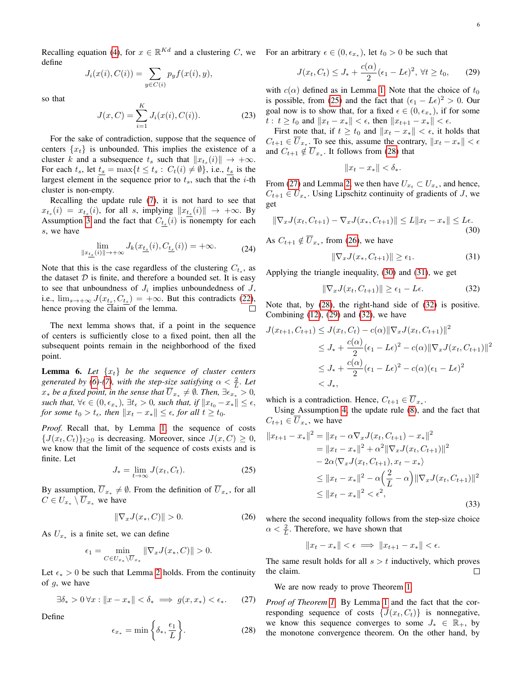Recalling equation [\(4\)](#page-1-5), for  $x \in \mathbb{R}^{Kd}$  and a clustering C, we For an arbitrary  $\epsilon \in (0, \epsilon_{x_*})$ , let  $t_0 > 0$  be such that define

$$
J_i(x(i), C(i)) = \sum_{y \in C(i)} p_y f(x(i), y),
$$

so that

$$
J(x, C) = \sum_{i=1}^{K} J_i(x(i), C(i)).
$$
 (23)

For the sake of contradiction, suppose that the sequence of centers  $\{x_t\}$  is unbounded. This implies the existence of a cluster k and a subsequence  $t_s$  such that  $||x_{t_s}(i)|| \rightarrow +\infty$ . For each  $t_s$ , let  $t_s = \max\{t \le t_s : C_t(i) \ne \emptyset\}$ , i.e.,  $t_s$  is the largest element in the sequence prior to  $t_s$ , such that the *i*-th cluster is non-empty.

Recalling the update rule [\(7\)](#page-2-4), it is not hard to see that  $x_{t_s}(i) = x_{t_s}(i)$ , for all s, implying  $||x_{t_s}(i)|| \rightarrow +\infty$ . By Assumption [3](#page-2-5) and the fact that  $C_{t_s}(i)$  is nonempty for each s, we have

$$
\lim_{\|x_{\underline{t_s}}(i)\| \to +\infty} J_k(x_{\underline{t_s}}(i), C_{\underline{t_s}}(i)) = +\infty. \tag{24}
$$

Note that this is the case regardless of the clustering  $C_{t_s}$ , as the dataset  $D$  is finite, and therefore a bounded set. It is easy to see that unboundness of  $J_i$  implies unboundedness of  $J$ , i.e.,  $\lim_{s\to+\infty} J(x_{t_s}, C_{t_s}) = +\infty$ . But this contradicts [\(22\)](#page-4-6), hence proving the claim of the lemma.  $\Box$ 

The next lemma shows that, if a point in the sequence of centers is sufficiently close to a fixed point, then all the subsequent points remain in the neighborhood of the fixed point.

<span id="page-5-8"></span>**Lemma 6.** Let  $\{x_t\}$  be the sequence of cluster centers *generated by [\(6\)](#page-2-7)-[\(7\)](#page-2-4), with the step-size satisfying*  $\alpha < \frac{2}{L}$ *. Let*  $x_*$  *be a fixed point, in the sense that*  $\overline{U}_{x_*} \neq \emptyset$ *. Then,* ∃ $\epsilon_{x_*} > 0$ *, such that,*  $\forall \epsilon \in (0, \epsilon_{x_*}), \exists t_{\epsilon} > 0$ *, such that, if*  $||x_{t_0} - x_*|| \leq \epsilon$ *, for some*  $t_0 > t_{\epsilon}$ *, then*  $||x_t - x_*|| \leq \epsilon$ *, for all*  $t \geq t_0$ *.* 

*Proof.* Recall that, by Lemma [1,](#page-3-7) the sequence of costs  ${J(x_t, C_t)}_{t\geq0}$  is decreasing. Moreover, since  $J(x, C) \geq 0$ , we know that the limit of the sequence of costs exists and is finite. Let

<span id="page-5-0"></span>
$$
J_* = \lim_{t \to \infty} J(x_t, C_t). \tag{25}
$$

By assumption,  $\overline{U}_{x*} \neq \emptyset$ . From the definition of  $\overline{U}_{x*}$ , for all  $C \in U_{x*} \setminus \overline{U}_{x*}$  we have

<span id="page-5-3"></span>
$$
\|\nabla_x J(x_*, C)\| > 0. \tag{26}
$$

As  $U_{x*}$  is a finite set, we can define

$$
\epsilon_1 = \min_{C \in U_{x_*} \setminus \overline{U}_{x_*}} \|\nabla_x J(x_*, C)\| > 0.
$$

Let  $\epsilon_* > 0$  be such that Lemma [2](#page-3-6) holds. From the continuity of g, we have

<span id="page-5-2"></span>
$$
\exists \delta_* > 0 \,\forall x: \|x - x_*\| < \delta_* \implies g(x, x_*) < \epsilon_*. \tag{27}
$$

Define

<span id="page-5-1"></span>
$$
\epsilon_{x_*} = \min\left\{\delta_*, \frac{\epsilon_1}{L}\right\}.
$$
 (28)

<span id="page-5-7"></span>
$$
J(x_t, C_t) \le J_* + \frac{c(\alpha)}{2} (\epsilon_1 - L\epsilon)^2, \ \forall t \ge t_0,
$$
 (29)

with  $c(\alpha)$  defined as in Lemma [1.](#page-3-7) Note that the choice of  $t_0$ is possible, from [\(25\)](#page-5-0) and the fact that  $(\epsilon_1 - L\epsilon)^2 > 0$ . Our goal now is to show that, for a fixed  $\epsilon \in (0, \epsilon_{x_*})$ , if for some t :  $t \ge t_0$  and  $||x_t - x_*|| < \epsilon$ , then  $||x_{t+1} - x_*|| < \epsilon$ .

First note that, if  $t \ge t_0$  and  $||x_t - x_*|| < \epsilon$ , it holds that  $C_{t+1} \in \overline{U}_{x_*}$ . To see this, assume the contrary,  $||x_t - x_*|| < \epsilon$ and  $C_{t+1} \notin \overline{U}_{x_*}$ . It follows from [\(28\)](#page-5-1) that

$$
||x_t - x_*|| < \delta_*.
$$

From [\(27\)](#page-5-2) and Lemma [2,](#page-3-6) we then have  $U_{x_t} \subset U_{x_*}$ , and hence,  $C_{t+1} \in U_{x_*}$ . Using Lipschitz continuity of gradients of J, we get

<span id="page-5-4"></span>
$$
\|\nabla_x J(x_t, C_{t+1}) - \nabla_x J(x_*, C_{t+1})\| \le L\|x_t - x_*\| \le L\epsilon.
$$
\n(30)

As  $C_{t+1} \notin \overline{U}_{x_*}$ , from [\(26\)](#page-5-3), we have

<span id="page-5-5"></span>
$$
\|\nabla_x J(x_*, C_{t+1})\| \ge \epsilon_1. \tag{31}
$$

Applying the triangle inequality, [\(30\)](#page-5-4) and [\(31\)](#page-5-5), we get

<span id="page-5-6"></span>
$$
\|\nabla_x J(x_t, C_{t+1})\| \ge \epsilon_1 - L\epsilon. \tag{32}
$$

Note that, by [\(28\)](#page-5-1), the right-hand side of [\(32\)](#page-5-6) is positive. Combining  $(12)$ ,  $(29)$  and  $(32)$ , we have

$$
J(x_{t+1}, C_{t+1}) \leq J(x_t, C_t) - c(\alpha) \|\nabla_x J(x_t, C_{t+1})\|^2
$$
  
\n
$$
\leq J_* + \frac{c(\alpha)}{2} (\epsilon_1 - L\epsilon)^2 - c(\alpha) \|\nabla_x J(x_t, C_{t+1})\|^2
$$
  
\n
$$
\leq J_* + \frac{c(\alpha)}{2} (\epsilon_1 - L\epsilon)^2 - c(\alpha) (\epsilon_1 - L\epsilon)^2
$$
  
\n
$$
< J_*,
$$

which is a contradiction. Hence,  $C_{t+1} \in U_{x_*}$ .

Using Assumption [4,](#page-2-3) the update rule [\(8\)](#page-2-6), and the fact that  $C_{t+1} \in \overline{U}_{x_*}$ , we have

$$
||x_{t+1} - x_*||^2 = ||x_t - \alpha \nabla_x J(x_t, C_{t+1}) - x_*||^2
$$
  
\n
$$
= ||x_t - x_*||^2 + \alpha^2 ||\nabla_x J(x_t, C_{t+1})||^2
$$
  
\n
$$
- 2\alpha \langle \nabla_x J(x_t, C_{t+1}), x_t - x_* \rangle
$$
  
\n
$$
\le ||x_t - x_*||^2 - \alpha \left(\frac{2}{L} - \alpha\right) ||\nabla_x J(x_t, C_{t+1})||^2
$$
  
\n
$$
\le ||x_t - x_*||^2 < \epsilon^2,
$$
\n(33)

where the second inequality follows from the step-size choice  $\alpha < \frac{2}{L}$ . Therefore, we have shown that

$$
||x_t - x_*|| < \epsilon \implies ||x_{t+1} - x_*|| < \epsilon.
$$

The same result holds for all  $s > t$  inductively, which proves the claim.  $\Box$ 

We are now ready to prove Theorem [1.](#page-3-1)

*Proof of Theorem [1.](#page-3-1)* By Lemma [1](#page-3-7) and the fact that the corresponding sequence of costs  $\{J(x_t, C_t)\}\$ is nonnegative, we know this sequence converges to some  $J_* \in \mathbb{R}_+$ , by the monotone convergence theorem. On the other hand, by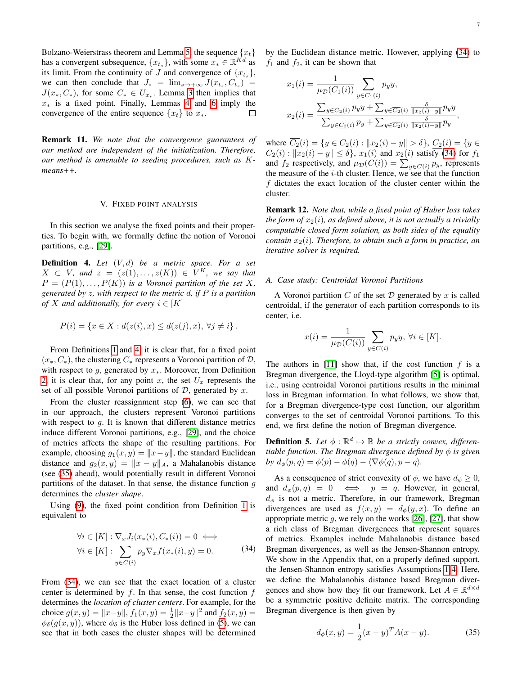Bolzano-Weierstrass theorem and Lemma [5,](#page-4-7) the sequence  ${x_t}$ has a convergent subsequence,  $\{x_{t_s}\}\$ , with some  $x_* \in \mathbb{R}^{Kd}$  as its limit. From the continuity of J and convergence of  $\{x_{t_s}\}\,$ we can then conclude that  $J_* = \lim_{s \to +\infty} J(x_{t_s}, C_{t_s})$  $J(x_*, C_*)$ , for some  $C_* \in U_{x_*}$ . Lemma [3](#page-4-8) then implies that  $x<sub>*</sub>$  is a fixed point. Finally, Lemmas [4](#page-4-9) and [6](#page-5-8) imply the convergence of the entire sequence  $\{x_t\}$  to  $x_*$ . П

Remark 11. *We note that the convergence guarantees of our method are independent of the initialization. Therefore, our method is amenable to seeding procedures, such as* K*means++.*

## V. FIXED POINT ANALYSIS

<span id="page-6-0"></span>In this section we analyse the fixed points and their properties. To begin with, we formally define the notion of Voronoi partitions, e.g., [\[29\]](#page-10-15).

<span id="page-6-1"></span>Definition 4. *Let* (V, d) *be a metric space. For a set*  $X \subset V$ *, and*  $z = (z(1), \ldots, z(K)) \in V^K$ *, we say that*  $P = (P(1), \ldots, P(K))$  *is a Voronoi partition of the set* X, *generated by* z*, with respect to the metric* d*, if* P *is a partition of* X and additionally, for every  $i \in [K]$ 

$$
P(i) = \{ x \in X : d(z(i), x) \le d(z(j), x), \forall j \neq i \}.
$$

From Definitions [1](#page-2-8) and [4,](#page-6-1) it is clear that, for a fixed point  $(x_*, C_*)$ , the clustering  $C_*$  represents a Voronoi partition of  $\mathcal{D}$ , with respect to  $g$ , generated by  $x_{*}$ . Moreover, from Definition [2,](#page-2-10) it is clear that, for any point x, the set  $U_x$  represents the set of all possible Voronoi partitions of  $D$ , generated by  $x$ .

From the cluster reassignment step [\(6\)](#page-2-7), we can see that in our approach, the clusters represent Voronoi partitions with respect to  $q$ . It is known that different distance metrics induce different Voronoi partitions, e.g., [\[29\]](#page-10-15), and the choice of metrics affects the shape of the resulting partitions. For example, choosing  $g_1(x, y) = ||x - y||$ , the standard Euclidean distance and  $g_2(x, y) = ||x - y||_A$ , a Mahalanobis distance (see [\(35\)](#page-6-2) ahead), would potentially result in different Voronoi partitions of the dataset. In that sense, the distance function  $q$ determines the *cluster shape*.

Using [\(9\)](#page-2-11), the fixed point condition from Definition [1](#page-2-8) is equivalent to

$$
\forall i \in [K] : \nabla_x J_i(x_*(i), C_*(i)) = 0 \iff
$$
  

$$
\forall i \in [K] : \sum_{y \in C(i)} p_y \nabla_x f(x_*(i), y) = 0.
$$
 (34)

From [\(34\)](#page-6-3), we can see that the exact location of a cluster center is determined by  $f$ . In that sense, the cost function  $f$ determines the *location of cluster centers*. For example, for the choice  $g(x, y) = ||x-y||$ ,  $f_1(x, y) = \frac{1}{2} ||x-y||^2$  and  $f_2(x, y) =$  $\phi_{\delta}(g(x, y))$ , where  $\phi_{\delta}$  is the Huber loss defined in [\(5\)](#page-2-12), we can see that in both cases the cluster shapes will be determined by the Euclidean distance metric. However, applying [\(34\)](#page-6-3) to  $f_1$  and  $f_2$ , it can be shown that

$$
x_1(i) = \frac{1}{\mu_{\mathcal{D}}(C_1(i))} \sum_{y \in C_1(i)} p_y y,
$$
  

$$
x_2(i) = \frac{\sum_{y \in C_2(i)} p_y y + \sum_{y \in \overline{C_2}(i)} \frac{\delta}{\|x_2(i) - y\|} p_y y}{\sum_{y \in \underline{C_2}(i)} p_y + \sum_{y \in \overline{C_2}(i)} \frac{\delta}{\|x_2(i) - y\|} p_y},
$$

where  $\overline{C_2}(i) = \{y \in C_2(i) : ||x_2(i) - y|| > \delta\}, \underline{C_2}(i) = \{y \in$  $C_2(i) : ||x_2(i) - y|| \le \delta$ ,  $x_1(i)$  and  $x_2(i)$  satisfy [\(34\)](#page-6-3) for  $f_1$ and  $f_2$  respectively, and  $\mu_{\mathcal{D}}(C(i)) = \sum_{y \in C(i)} p_y$ , represents the measure of the  $i$ -th cluster. Hence, we see that the function  $f$  dictates the exact location of the cluster center within the cluster.

Remark 12. *Note that, while a fixed point of Huber loss takes the form of*  $x_2(i)$ *, as defined above, it is not actually a trivially computable closed form solution, as both sides of the equality contain*  $x_2(i)$ *. Therefore, to obtain such a form in practice, an iterative solver is required.*

# *A. Case study: Centroidal Voronoi Partitions*

A Voronoi partition  $C$  of the set  $D$  generated by  $x$  is called centroidal, if the generator of each partition corresponds to its center, i.e.

$$
x(i) = \frac{1}{\mu_{\mathcal{D}}(C(i))} \sum_{y \in C(i)} p_y y, \ \forall i \in [K].
$$

The authors in  $[11]$  show that, if the cost function f is a Bregman divergence, the Lloyd-type algorithm [\[5\]](#page-9-4) is optimal, i.e., using centroidal Voronoi partitions results in the minimal loss in Bregman information. In what follows, we show that, for a Bregman divergence-type cost function, our algorithm converges to the set of centroidal Voronoi partitions. To this end, we first define the notion of Bregman divergence.

**Definition 5.** Let  $\phi : \mathbb{R}^d \mapsto \mathbb{R}$  be a strictly convex, differen*tiable function. The Bregman divergence defined by* φ *is given by*  $d_{\phi}(p,q) = \phi(p) - \phi(q) - \langle \nabla \phi(q), p - q \rangle$ .

<span id="page-6-3"></span>As a consequence of strict convexity of  $\phi$ , we have  $d_{\phi} \geq 0$ , and  $d_{\phi}(p,q) = 0 \iff p = q$ . However, in general,  $d_{\phi}$  is not a metric. Therefore, in our framework, Bregman divergences are used as  $f(x, y) = d_{\phi}(y, x)$ . To define an appropriate metric  $g$ , we rely on the works [\[26\]](#page-10-12), [\[27\]](#page-10-13), that show a rich class of Bregman divergences that represent squares of metrics. Examples include Mahalanobis distance based Bregman divergences, as well as the Jensen-Shannon entropy. We show in the Appendix that, on a properly defined support, the Jensen-Shannon entropy satisfies Assumptions [1-](#page-1-6)[4.](#page-2-3) Here, we define the Mahalanobis distance based Bregman divergences and show how they fit our framework. Let  $A \in \mathbb{R}^{d \times d}$ be a symmetric positive definite matrix. The corresponding Bregman divergence is then given by

<span id="page-6-2"></span>
$$
d_{\phi}(x, y) = \frac{1}{2}(x - y)^{T} A(x - y).
$$
 (35)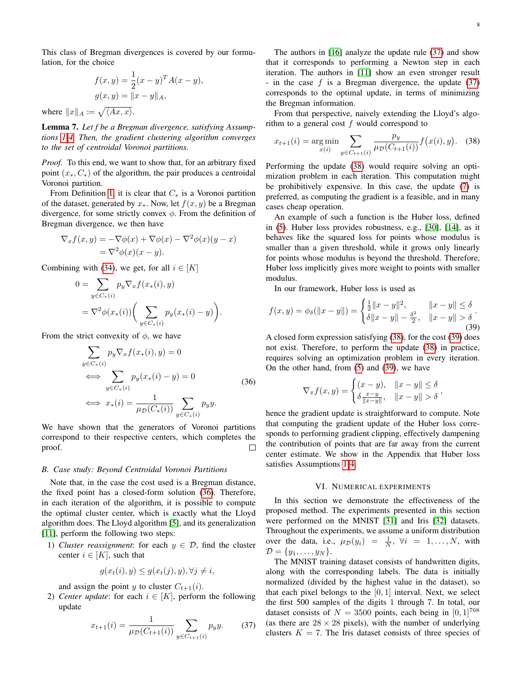This class of Bregman divergences is covered by our formulation, for the choice

$$
f(x,y) = \frac{1}{2}(x-y)^T A(x-y),
$$

$$
g(x,y) = ||x-y||_A,
$$
where  $||x||_A := \sqrt{\langle Ax, x \rangle}.$ 

Lemma 7. *Let f be a Bregman divergence, satisfying Assumptions [1](#page-1-6)[-4.](#page-2-3) Then, the gradient clustering algorithm converges to the set of centroidal Voronoi partitions.*

*Proof.* To this end, we want to show that, for an arbitrary fixed point  $(x_*, C_*)$  of the algorithm, the pair produces a centroidal Voronoi partition.

From Definition [1,](#page-2-8) it is clear that  $C_*$  is a Voronoi partition of the dataset, generated by  $x_{*}$ . Now, let  $f(x, y)$  be a Bregman divergence, for some strictly convex  $\phi$ . From the definition of Bregman divergence, we then have

$$
\nabla_x f(x, y) = -\nabla \phi(x) + \nabla \phi(x) - \nabla^2 \phi(x)(y - x)
$$
  
=  $\nabla^2 \phi(x)(x - y)$ .

Combining with [\(34\)](#page-6-3), we get, for all  $i \in [K]$ 

$$
0 = \sum_{y \in C_*(i)} p_y \nabla_x f(x_*(i), y)
$$
  
=  $\nabla^2 \phi(x_*(i)) \bigg( \sum_{y \in C_*(i)} p_y(x_*(i) - y) \bigg).$ 

From the strict convexity of  $\phi$ , we have

$$
\sum_{y \in C_*(i)} p_y \nabla_x f(x_*(i), y) = 0
$$
\n
$$
\iff \sum_{y \in C_*(i)} p_y(x_*(i) - y) = 0
$$
\n
$$
\iff x_*(i) = \frac{1}{\mu_D(C_*(i))} \sum_{y \in C_*(i)} p_y y.
$$
\n(36)

We have shown that the generators of Voronoi partitions correspond to their respective centers, which completes the proof.  $\Box$ 

## *B. Case study: Beyond Centroidal Voronoi Partitions*

Note that, in the case the cost used is a Bregman distance, the fixed point has a closed-form solution [\(36\)](#page-7-1). Therefore, in each iteration of the algorithm, it is possible to compute the optimal cluster center, which is exactly what the Lloyd algorithm does. The Lloyd algorithm [\[5\]](#page-9-4), and its generalization [\[11\]](#page-9-10), perform the following two steps:

1) *Cluster reassignment*: for each  $y \in \mathcal{D}$ , find the cluster center  $i \in [K]$ , such that

$$
g(x_t(i), y) \le g(x_t(j), y), \forall j \ne i,
$$

and assign the point y to cluster  $C_{t+1}(i)$ .

2) *Center update*: for each  $i \in [K]$ , perform the following update

<span id="page-7-2"></span>
$$
x_{t+1}(i) = \frac{1}{\mu_{\mathcal{D}}(C_{t+1}(i))} \sum_{y \in C_{t+1}(i)} p_y y. \tag{37}
$$

The authors in [\[16\]](#page-10-2) analyze the update rule [\(37\)](#page-7-2) and show that it corresponds to performing a Newton step in each iteration. The authors in [\[11\]](#page-9-10) show an even stronger result - in the case  $f$  is a Bregman divergence, the update [\(37\)](#page-7-2) corresponds to the optimal update, in terms of minimizing the Bregman information.

From that perspective, naively extending the Lloyd's algorithm to a general cost  $f$  would correspond to

<span id="page-7-3"></span>
$$
x_{t+1}(i) = \underset{x(i)}{\text{arg min}} \sum_{y \in C_{t+1}(i)} \frac{p_y}{\mu_{\mathcal{D}}(C_{t+1}(i))} f(x(i), y). \tag{38}
$$

Performing the update [\(38\)](#page-7-3) would require solving an optimization problem in each iteration. This computation might be prohibitively expensive. In this case, the update [\(7\)](#page-2-4) is preferred, as computing the gradient is a feasible, and in many cases cheap operation.

An example of such a function is the Huber loss, defined in [\(5\)](#page-2-12). Huber loss provides robustness, e.g., [\[30\]](#page-10-16), [\[14\]](#page-10-0), as it behaves like the squared loss for points whose modulus is smaller than a given threshold, while it grows only linearly for points whose modulus is beyond the threshold. Therefore, Huber loss implicitly gives more weight to points with smaller modulus.

In our framework, Huber loss is used as

<span id="page-7-4"></span>
$$
f(x,y) = \phi_{\delta}(\|x-y\|) = \begin{cases} \frac{1}{2} \|x-y\|^2, & \|x-y\| \le \delta \\ \delta \|x-y\| - \frac{\delta^2}{2}, & \|x-y\| > \delta \end{cases}.
$$
 (39)

<span id="page-7-1"></span>A closed form expression satisfying [\(38\)](#page-7-3), for the cost [\(39\)](#page-7-4) does not exist. Therefore, to perform the update [\(38\)](#page-7-3) in practice, requires solving an optimization problem in every iteration. On the other hand, from [\(5\)](#page-2-12) and [\(39\)](#page-7-4), we have

$$
\nabla_x f(x, y) = \begin{cases} (x - y), & \|x - y\| \le \delta \\ \delta \frac{x - y}{\|x - y\|}, & \|x - y\| > \delta \end{cases}
$$

hence the gradient update is straightforward to compute. Note that computing the gradient update of the Huber loss corresponds to performing gradient clipping, effectively dampening the contribution of points that are far away from the current center estimate. We show in the Appendix that Huber loss satisfies Assumptions [1-](#page-1-6)[4.](#page-2-3)

## VI. NUMERICAL EXPERIMENTS

<span id="page-7-0"></span>In this section we demonstrate the effectiveness of the proposed method. The experiments presented in this section were performed on the MNIST [\[31\]](#page-10-17) and Iris [\[32\]](#page-10-18) datasets. Throughout the experiments, we assume a uniform distribution over the data, i.e.,  $\mu_{\mathcal{D}}(y_i) = \frac{1}{N}, \forall i = 1, ..., N$ , with  $\mathcal{D} = \{y_1, \ldots, y_N\}.$ 

The MNIST training dataset consists of handwritten digits, along with the corresponding labels. The data is initially normalized (divided by the highest value in the dataset), so that each pixel belongs to the  $[0, 1]$  interval. Next, we select the first 500 samples of the digits 1 through 7. In total, our dataset consists of  $N = 3500$  points, each being in [0, 1]<sup>768</sup> (as there are  $28 \times 28$  pixels), with the number of underlying clusters  $K = 7$ . The Iris dataset consists of three species of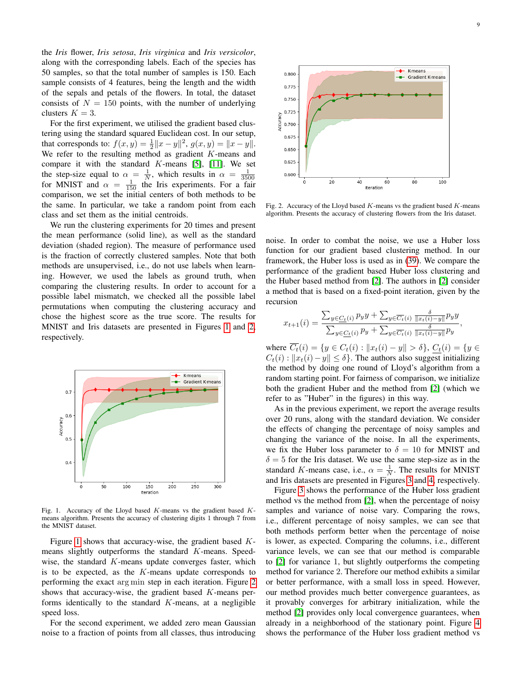the *Iris* flower, *Iris setosa*, *Iris virginica* and *Iris versicolor*, along with the corresponding labels. Each of the species has 50 samples, so that the total number of samples is 150. Each sample consists of 4 features, being the length and the width of the sepals and petals of the flowers. In total, the dataset consists of  $N = 150$  points, with the number of underlying clusters  $K = 3$ .

For the first experiment, we utilised the gradient based clustering using the standard squared Euclidean cost. In our setup, that corresponds to:  $f(x, y) = \frac{1}{2} ||x - y||^2$ ,  $g(x, y) = ||x - y||$ . We refer to the resulting method as gradient  $K$ -means and compare it with the standard  $K$ -means [\[5\]](#page-9-4), [\[11\]](#page-9-10). We set the step-size equal to  $\alpha = \frac{1}{N}$ , which results in  $\alpha = \frac{1}{3500}$  for MNIST and  $\alpha = \frac{1}{150}$  the Iris experiments. For a fair comparison, we set the initial centers of both methods to be the same. In particular, we take a random point from each class and set them as the initial centroids.

We run the clustering experiments for 20 times and present the mean performance (solid line), as well as the standard deviation (shaded region). The measure of performance used is the fraction of correctly clustered samples. Note that both methods are unsupervised, i.e., do not use labels when learning. However, we used the labels as ground truth, when comparing the clustering results. In order to account for a possible label mismatch, we checked all the possible label permutations when computing the clustering accuracy and chose the highest score as the true score. The results for MNIST and Iris datasets are presented in Figures [1](#page-8-0) and [2,](#page-8-1) respectively.



Fig. 1. Accuracy of the Lloyd based  $K$ -means vs the gradient based  $K$ means algorithm. Presents the accuracy of clustering digits 1 through 7 from the MNIST dataset.

Figure [1](#page-8-0) shows that accuracy-wise, the gradient based Kmeans slightly outperforms the standard K-means. Speedwise, the standard  $K$ -means update converges faster, which is to be expected, as the  $K$ -means update corresponds to performing the exact arg min step in each iteration. Figure [2](#page-8-1) shows that accuracy-wise, the gradient based K-means performs identically to the standard  $K$ -means, at a negligible speed loss.

For the second experiment, we added zero mean Gaussian noise to a fraction of points from all classes, thus introducing



<span id="page-8-1"></span>Fig. 2. Accuracy of the Lloyd based  $K$ -means vs the gradient based  $K$ -means algorithm. Presents the accuracy of clustering flowers from the Iris dataset.

noise. In order to combat the noise, we use a Huber loss function for our gradient based clustering method. In our framework, the Huber loss is used as in [\(39\)](#page-7-4). We compare the performance of the gradient based Huber loss clustering and the Huber based method from [\[2\]](#page-9-1). The authors in [\[2\]](#page-9-1) consider a method that is based on a fixed-point iteration, given by the recursion

$$
x_{t+1}(i) = \frac{\sum_{y \in C_t(i)} p_y y + \sum_{y \in \overline{C_t}(i)} \frac{\delta}{\|x_t(i) - y\|} p_y y}{\sum_{y \in C_t(i)} p_y + \sum_{y \in \overline{C_t}(i)} \frac{\delta}{\|x_t(i) - y\|} p_y},
$$

where  $\overline{C_t}(i) = \{y \in C_t(i) : ||x_t(i) - y|| > \delta\}, C_t(i) = \{y \in$  $C_t(i)$  :  $||x_t(i) - y|| \leq \delta$ . The authors also suggest initializing the method by doing one round of Lloyd's algorithm from a random starting point. For fairness of comparison, we initialize both the gradient Huber and the method from [\[2\]](#page-9-1) (which we refer to as "Huber" in the figures) in this way.

As in the previous experiment, we report the average results over 20 runs, along with the standard deviation. We consider the effects of changing the percentage of noisy samples and changing the variance of the noise. In all the experiments, we fix the Huber loss parameter to  $\delta = 10$  for MNIST and  $\delta = 5$  for the Iris dataset. We use the same step-size as in the standard K-means case, i.e.,  $\alpha = \frac{1}{N}$ . The results for MNIST and Iris datasets are presented in Figures [3](#page-9-14) and [4,](#page-9-15) respectively.

<span id="page-8-0"></span>Figure [3](#page-9-14) shows the performance of the Huber loss gradient method vs the method from [\[2\]](#page-9-1), when the percentage of noisy samples and variance of noise vary. Comparing the rows, i.e., different percentage of noisy samples, we can see that both methods perform better when the percentage of noise is lower, as expected. Comparing the columns, i.e., different variance levels, we can see that our method is comparable to [\[2\]](#page-9-1) for variance 1, but slightly outperforms the competing method for variance 2. Therefore our method exhibits a similar or better performance, with a small loss in speed. However, our method provides much better convergence guarantees, as it provably converges for arbitrary initialization, while the method [\[2\]](#page-9-1) provides only local convergence guarantees, when already in a neighborhood of the stationary point. Figure [4](#page-9-15) shows the performance of the Huber loss gradient method vs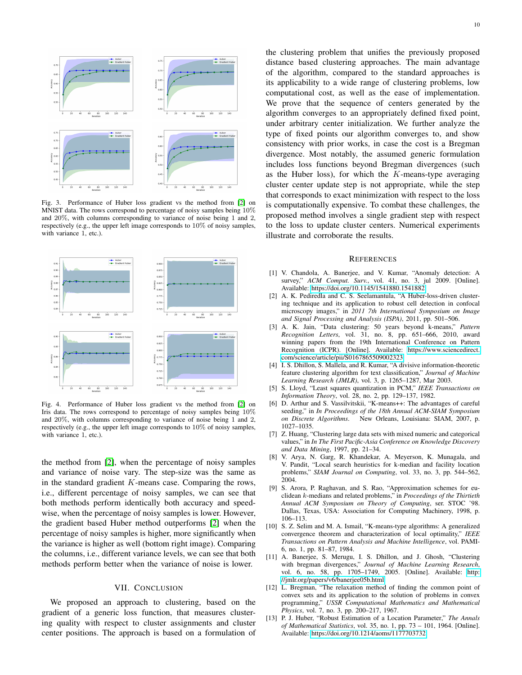

Fig. 3. Performance of Huber loss gradient vs the method from [\[2\]](#page-9-1) on MNIST data. The rows correspond to percentage of noisy samples being 10% and 20%, with columns corresponding to variance of noise being 1 and 2, respectively (e.g., the upper left image corresponds to 10% of noisy samples, with variance 1, etc.).



Fig. 4. Performance of Huber loss gradient vs the method from [\[2\]](#page-9-1) on Iris data. The rows correspond to percentage of noisy samples being 10% and 20%, with columns corresponding to variance of noise being 1 and 2, respectively (e.g., the upper left image corresponds to 10% of noisy samples, with variance 1, etc.).

the method from [\[2\]](#page-9-1), when the percentage of noisy samples and variance of noise vary. The step-size was the same as in the standard gradient  $K$ -means case. Comparing the rows, i.e., different percentage of noisy samples, we can see that both methods perform identically both accuracy and speedwise, when the percentage of noisy samples is lower. However, the gradient based Huber method outperforms [\[2\]](#page-9-1) when the percentage of noisy samples is higher, more significantly when the variance is higher as well (bottom right image). Comparing the columns, i.e., different variance levels, we can see that both methods perform better when the variance of noise is lower.

## VII. CONCLUSION

<span id="page-9-13"></span>We proposed an approach to clustering, based on the gradient of a generic loss function, that measures clustering quality with respect to cluster assignments and cluster center positions. The approach is based on a formulation of

<span id="page-9-14"></span>the clustering problem that unifies the previously proposed distance based clustering approaches. The main advantage of the algorithm, compared to the standard approaches is its applicability to a wide range of clustering problems, low computational cost, as well as the ease of implementation. We prove that the sequence of centers generated by the algorithm converges to an appropriately defined fixed point, under arbitrary center initialization. We further analyze the type of fixed points our algorithm converges to, and show consistency with prior works, in case the cost is a Bregman divergence. Most notably, the assumed generic formulation includes loss functions beyond Bregman divergences (such as the Huber loss), for which the K-means-type averaging cluster center update step is not appropriate, while the step that corresponds to exact minimization with respect to the loss is computationally expensive. To combat these challenges, the proposed method involves a single gradient step with respect to the loss to update cluster centers. Numerical experiments illustrate and corroborate the results.

#### **REFERENCES**

- <span id="page-9-0"></span>[1] V. Chandola, A. Banerjee, and V. Kumar, "Anomaly detection: A survey," *ACM Comput. Surv.*, vol. 41, no. 3, jul 2009. [Online]. Available:<https://doi.org/10.1145/1541880.1541882>
- <span id="page-9-1"></span>[2] A. K. Pediredla and C. S. Seelamantula, "A Huber-loss-driven clustering technique and its application to robust cell detection in confocal microscopy images," in *2011 7th International Symposium on Image and Signal Processing and Analysis (ISPA)*, 2011, pp. 501–506.
- <span id="page-9-15"></span><span id="page-9-2"></span>[3] A. K. Jain, "Data clustering: 50 years beyond k-means," *Pattern Recognition Letters*, vol. 31, no. 8, pp. 651–666, 2010, award winning papers from the 19th International Conference on Pattern Recognition (ICPR). [Online]. Available: [https://www.sciencedirect.](https://www.sciencedirect.com/science/article/pii/S0167865509002323) [com/science/article/pii/S0167865509002323](https://www.sciencedirect.com/science/article/pii/S0167865509002323)
- <span id="page-9-3"></span>[4] I. S. Dhillon, S. Mallela, and R. Kumar, "A divisive information-theoretic feature clustering algorithm for text classification," *Journal of Machine Learning Research (JMLR)*, vol. 3, p. 1265–1287, Mar 2003.
- <span id="page-9-4"></span>[5] S. Lloyd, "Least squares quantization in PCM," *IEEE Transactions on Information Theory*, vol. 28, no. 2, pp. 129–137, 1982.
- <span id="page-9-5"></span>[6] D. Arthur and S. Vassilvitskii, "K-means++: The advantages of careful seeding," in *In Proceedings of the 18th Annual ACM-SIAM Symposium on Discrete Algorithms*. New Orleans, Louisiana: SIAM, 2007, p. 1027–1035.
- <span id="page-9-6"></span>[7] Z. Huang, "Clustering large data sets with mixed numeric and categorical values," in *In The First Pacific-Asia Conference on Knowledge Discovery and Data Mining*, 1997, pp. 21–34.
- <span id="page-9-7"></span>[8] V. Arya, N. Garg, R. Khandekar, A. Meyerson, K. Munagala, and V. Pandit, "Local search heuristics for k-median and facility location problems," *SIAM Journal on Computing*, vol. 33, no. 3, pp. 544–562, 2004.
- <span id="page-9-8"></span>[9] S. Arora, P. Raghavan, and S. Rao, "Approximation schemes for euclidean k-medians and related problems," in *Proceedings of the Thirtieth Annual ACM Symposium on Theory of Computing*, ser. STOC '98. Dallas, Texas, USA: Association for Computing Machinery, 1998, p. 106–113.
- <span id="page-9-9"></span>[10] S. Z. Selim and M. A. Ismail, "K-means-type algorithms: A generalized convergence theorem and characterization of local optimality," *IEEE Transactions on Pattern Analysis and Machine Intelligence*, vol. PAMI-6, no. 1, pp. 81–87, 1984.
- <span id="page-9-10"></span>[11] A. Banerjee, S. Merugu, I. S. Dhillon, and J. Ghosh, "Clustering with bregman divergences," *Journal of Machine Learning Research*, vol. 6, no. 58, pp. 1705–1749, 2005. [Online]. Available: [http:](http://jmlr.org/papers/v6/banerjee05b.html) [//jmlr.org/papers/v6/banerjee05b.html](http://jmlr.org/papers/v6/banerjee05b.html)
- <span id="page-9-11"></span>[12] L. Bregman, "The relaxation method of finding the common point of convex sets and its application to the solution of problems in convex programming," *USSR Computational Mathematics and Mathematical Physics*, vol. 7, no. 3, pp. 200–217, 1967.
- <span id="page-9-12"></span>[13] P. J. Huber, "Robust Estimation of a Location Parameter," *The Annals of Mathematical Statistics*, vol. 35, no. 1, pp. 73 – 101, 1964. [Online]. Available:<https://doi.org/10.1214/aoms/1177703732>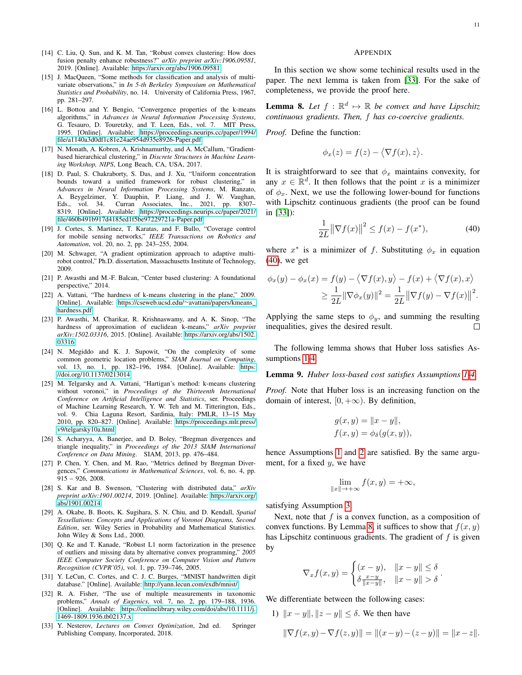- <span id="page-10-0"></span>[14] C. Liu, Q. Sun, and K. M. Tan, "Robust convex clustering: How does fusion penalty enhance robustness?" *arXiv preprint arXiv:1906.09581*, 2019. [Online]. Available:<https://arxiv.org/abs/1906.09581>
- <span id="page-10-1"></span>[15] J. MacQueen, "Some methods for classification and analysis of multivariate observations," in *In 5-th Berkeley Symposium on Mathematical Statistics and Probability*, no. 14. University of California Press, 1967, pp. 281–297.
- <span id="page-10-2"></span>[16] L. Bottou and Y. Bengio, "Convergence properties of the k-means algorithms," in *Advances in Neural Information Processing Systems*, G. Tesauro, D. Touretzky, and T. Leen, Eds., vol. 7. MIT Press, 1995. [Online]. Available: [https://proceedings.neurips.cc/paper/1994/](https://proceedings.neurips.cc/paper/1994/file/a1140a3d0df1c81e24ae954d935e8926-Paper.pdf) [file/a1140a3d0df1c81e24ae954d935e8926-Paper.pdf](https://proceedings.neurips.cc/paper/1994/file/a1140a3d0df1c81e24ae954d935e8926-Paper.pdf)
- <span id="page-10-3"></span>[17] N. Monath, A. Kobren, A. Krishnamurthy, and A. McCallum, "Gradientbased hierarchical clustering," in *Discrete Structures in Machine Learning Workshop, NIPS*, Long Beach, CA, USA, 2017.
- <span id="page-10-4"></span>[18] D. Paul, S. Chakraborty, S. Das, and J. Xu, "Uniform concentration bounds toward a unified framework for robust clustering," in *Advances in Neural Information Processing Systems*, M. Ranzato, A. Beygelzimer, Y. Dauphin, P. Liang, and J. W. Vaughan, Eds., vol. 34. Curran Associates, Inc., 2021, pp. 8307– 8319. [Online]. Available: [https://proceedings.neurips.cc/paper/2021/](https://proceedings.neurips.cc/paper/2021/file/460b491b917d4185ed1f5be97229721a-Paper.pdf) [file/460b491b917d4185ed1f5be97229721a-Paper.pdf](https://proceedings.neurips.cc/paper/2021/file/460b491b917d4185ed1f5be97229721a-Paper.pdf)
- <span id="page-10-5"></span>[19] J. Cortes, S. Martinez, T. Karatas, and F. Bullo, "Coverage control for mobile sensing networks," *IEEE Transactions on Robotics and Automation*, vol. 20, no. 2, pp. 243–255, 2004.
- <span id="page-10-6"></span>[20] M. Schwager, "A gradient optimization approach to adaptive multirobot control," Ph.D. dissertation, Massachusetts Institute of Technology, 2009.
- <span id="page-10-7"></span>[21] P. Awasthi and M.-F. Balcan, "Center based clustering: A foundational perspective," 2014.
- <span id="page-10-8"></span>[22] A. Vattani, "The hardness of k-means clustering in the plane," 2009. [Online]. Available: [https://cseweb.ucsd.edu/](https://cseweb.ucsd.edu/~avattani/papers/kmeans_hardness.pdf)∼avattani/papers/kmeans [hardness.pdf](https://cseweb.ucsd.edu/~avattani/papers/kmeans_hardness.pdf)
- <span id="page-10-9"></span>[23] P. Awasthi, M. Charikar, R. Krishnaswamy, and A. K. Sinop, "The hardness of approximation of euclidean k-means," *arXiv preprint arXiv:1502.03316*, 2015. [Online]. Available: [https://arxiv.org/abs/1502.](https://arxiv.org/abs/1502.03316) [03316](https://arxiv.org/abs/1502.03316)
- <span id="page-10-10"></span>[24] N. Megiddo and K. J. Supowit, "On the complexity of some common geometric location problems," *SIAM Journal on Computing*, vol. 13, no. 1, pp. 182–196, 1984. [Online]. Available: [https:](https://doi.org/10.1137/0213014) [//doi.org/10.1137/0213014](https://doi.org/10.1137/0213014)
- <span id="page-10-11"></span>[25] M. Telgarsky and A. Vattani, "Hartigan's method: k-means clustering without voronoi," in *Proceedings of the Thirteenth International Conference on Artificial Intelligence and Statistics*, ser. Proceedings of Machine Learning Research, Y. W. Teh and M. Titterington, Eds., vol. 9. Chia Laguna Resort, Sardinia, Italy: PMLR, 13–15 May 2010, pp. 820–827. [Online]. Available: [https://proceedings.mlr.press/](https://proceedings.mlr.press/v9/telgarsky10a.html) [v9/telgarsky10a.html](https://proceedings.mlr.press/v9/telgarsky10a.html)
- <span id="page-10-12"></span>[26] S. Acharyya, A. Banerjee, and D. Boley, "Bregman divergences and triangle inequality," in *Proceedings of the 2013 SIAM International Conference on Data Mining*. SIAM, 2013, pp. 476–484.
- <span id="page-10-13"></span>[27] P. Chen, Y. Chen, and M. Rao, "Metrics defined by Bregman Divergences," *Communications in Mathematical Sciences*, vol. 6, no. 4, pp. 915 – 926, 2008.
- <span id="page-10-14"></span>[28] S. Kar and B. Swenson, "Clustering with distributed data," *arXiv preprint arXiv:1901.00214*, 2019. [Online]. Available: [https://arxiv.org/](https://arxiv.org/abs/1901.00214) [abs/1901.00214](https://arxiv.org/abs/1901.00214)
- <span id="page-10-15"></span>[29] A. Okabe, B. Boots, K. Sugihara, S. N. Chiu, and D. Kendall, *Spatial Tessellations: Concepts and Applications of Voronoi Diagrams, Second Edition*, ser. Wiley Series in Probability and Mathematical Statistics. John Wiley & Sons Ltd., 2000.
- <span id="page-10-16"></span>[30] Q. Ke and T. Kanade, "Robust L1 norm factorization in the presence of outliers and missing data by alternative convex programming," *2005 IEEE Computer Society Conference on Computer Vision and Pattern Recognition (CVPR'05)*, vol. 1, pp. 739–746, 2005.
- <span id="page-10-17"></span>[31] Y. LeCun, C. Cortes, and C. J. C. Burges, "MNIST handwritten digit database." [Online]. Available:<http://yann.lecun.com/exdb/mnist/>
- <span id="page-10-18"></span>[32] R. A. Fisher, "The use of multiple measurements in taxonomic problems," *Annals of Eugenics*, vol. 7, no. 2, pp. 179–188, 1936. [Online]. Available: [https://onlinelibrary.wiley.com/doi/abs/10.1111/j.](https://onlinelibrary.wiley.com/doi/abs/10.1111/j.1469-1809.1936.tb02137.x) [1469-1809.1936.tb02137.x](https://onlinelibrary.wiley.com/doi/abs/10.1111/j.1469-1809.1936.tb02137.x)
- <span id="page-10-19"></span>[33] Y. Nesterov, *Lectures on Convex Optimization*, 2nd ed. Springer Publishing Company, Incorporated, 2018.

# **APPENDIX**

In this section we show some techinical results used in the paper. The next lemma is taken from [\[33\]](#page-10-19). For the sake of completeness, we provide the proof here.

<span id="page-10-21"></span>**Lemma 8.** Let  $f : \mathbb{R}^d \mapsto \mathbb{R}$  be convex and have Lipschitz *continuous gradients. Then,* f *has co-coercive gradients.*

*Proof.* Define the function:

$$
\phi_x(z) = f(z) - \langle \nabla f(x), z \rangle.
$$

It is straightforward to see that  $\phi_x$  maintains convexity, for any  $x \in \mathbb{R}^d$ . It then follows that the point x is a minimizer of  $\phi_x$ . Next, we use the following lower-bound for functions with Lipschitz continuous gradients (the proof can be found in [\[33\]](#page-10-19)):

<span id="page-10-20"></span>
$$
\frac{1}{2L} \left\| \nabla f(x) \right\|^2 \le f(x) - f(x^*),\tag{40}
$$

where  $x^*$  is a minimizer of f. Substituting  $\phi_x$  in equation [\(40\)](#page-10-20), we get

$$
\phi_x(y) - \phi_x(x) = f(y) - \langle \nabla f(x), y \rangle - f(x) + \langle \nabla f(x), x \rangle
$$
  
\n
$$
\geq \frac{1}{2L} \|\nabla \phi_x(y)\|^2 = \frac{1}{2L} \|\nabla f(y) - \nabla f(x)\|^2.
$$

Applying the same steps to  $\phi_{\nu}$ , and summing the resulting inequalities, gives the desired result.  $\Box$ 

The following lemma shows that Huber loss satisfies Assumptions [1](#page-1-6)[-4.](#page-2-3)

Lemma 9. *Huber loss-based cost satisfies Assumptions [1-](#page-1-6)[4.](#page-2-3)*

*Proof.* Note that Huber loss is an increasing function on the domain of interest,  $[0, +\infty)$ . By definition,

$$
g(x, y) = ||x - y||,
$$
  

$$
f(x, y) = \phi_{\delta}(g(x, y)),
$$

hence Assumptions [1](#page-1-6) and [2](#page-2-2) are satisfied. By the same argument, for a fixed  $y$ , we have

$$
\lim_{\|x\| \to +\infty} f(x, y) = +\infty,
$$

satisfying Assumption [3.](#page-2-5)

Next, note that  $f$  is a convex function, as a composition of convex functions. By Lemma [8,](#page-10-21) it suffices to show that  $f(x, y)$ has Lipschitz continuous gradients. The gradient of  $f$  is given by

$$
\nabla_x f(x, y) = \begin{cases} (x - y), & \|x - y\| \le \delta \\ \delta \frac{x - y}{\|x - y\|}, & \|x - y\| > \delta \end{cases}.
$$

We differentiate between the following cases:

1)  $||x - y||, ||z - y|| \le \delta$ . We then have

$$
\|\nabla f(x,y)-\nabla f(z,y)\|=\|(x-y)-(z-y)\|=\|x-z\|.
$$